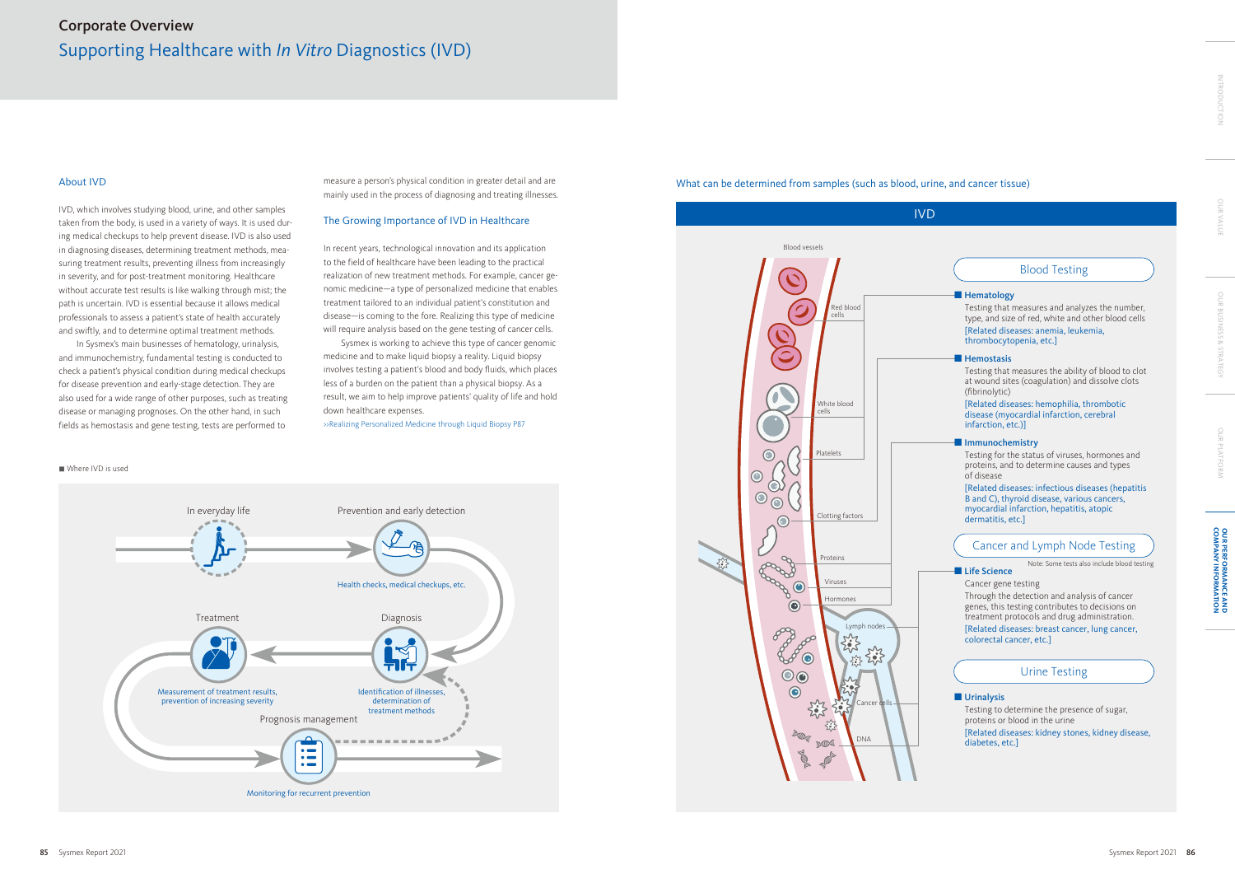# What can be determined from samples (such as blood, urine, and cancer tissue)



[Related diseases: kidney stones, kidney disease, diabetes, etc.]

|            | <b>Blood Testing</b>                                                                                                                                                                                                                                                                                               |  |
|------------|--------------------------------------------------------------------------------------------------------------------------------------------------------------------------------------------------------------------------------------------------------------------------------------------------------------------|--|
|            | $\blacksquare$ Hematology<br>Testing that measures and analyzes the number,<br>type, and size of red, white and other blood cells<br>[Related diseases: anemia, leukemia,<br>thrombocytopenia, etc.]                                                                                                               |  |
|            | <b>Hemostasis</b><br>Testing that measures the ability of blood to clot<br>at wound sites (coagulation) and dissolve clots<br>(fibrinolytic)<br>[Related diseases: hemophilia, thrombotic<br>disease (myocardial infarction, cerebral<br>infarction, etc.)]                                                        |  |
| of disease | Immunochemistry<br>Testing for the status of viruses, hormones and<br>proteins, and to determine causes and types<br>[Related diseases: infectious diseases (hepatitis<br>B and C), thyroid disease, various cancers,<br>myocardial infarction, hepatitis, atopic<br>dermatitis, etc.]                             |  |
|            | Cancer and Lymph Node Testing                                                                                                                                                                                                                                                                                      |  |
|            | Note: Some tests also include blood testing<br>Life Science<br>Cancer gene testing<br>Through the detection and analysis of cancer<br>genes, this testing contributes to decisions on<br>treatment protocols and drug administration.<br>[Related diseases: breast cancer, lung cancer,<br>colorectal cancer, etc. |  |
|            | <b>Urine Testing</b>                                                                                                                                                                                                                                                                                               |  |





# About IVD

IVD, which involves studying blood, urine, and other samples taken from the body, is used in a variety of ways. It is used during medical checkups to help prevent disease. IVD is also used in diagnosing diseases, determining treatment methods, measuring treatment results, preventing illness from increasingly in severity, and for post-treatment monitoring. Healthcare without accurate test results is like walking through mist; the path is uncertain. IVD is essential because it allows medical professionals to assess a patient's state of health accurately and swiftly, and to determine optimal treatment methods.

In Sysmex's main businesses of hematology, urinalysis, and immunochemistry, fundamental testing is conducted to check a patient's physical condition during medical checkups for disease prevention and early-stage detection. They are also used for a wide range of other purposes, such as treating disease or managing prognoses. On the other hand, in such fields as hemostasis and gene testing, tests are performed to

measure a person's physical condition in greater detail and are mainly used in the process of diagnosing and treating illnesses.

# The Growing Importance of IVD in Healthcare

In recent years, technological innovation and its application to the field of healthcare have been leading to the practical realization of new treatment methods. For example, cancer genomic medicine—a type of personalized medicine that enables treatment tailored to an individual patient's constitution and disease—is coming to the fore. Realizing this type of medicine will require analysis based on the gene testing of cancer cells.

Sysmex is working to achieve this type of cancer genomic medicine and to make liquid biopsy a reality. Liquid biopsy involves testing a patient's blood and body fluids, which places less of a burden on the patient than a physical biopsy. As a result, we aim to help improve patients' quality of life and hold down healthcare expenses.

>>Realizing Personalized Medicine through Liquid Biopsy P87

OUR BUSINESS & STRATEGY

OUR BUSINESS & STRATEGY

OUR PLATFORM

OUR PLATFORM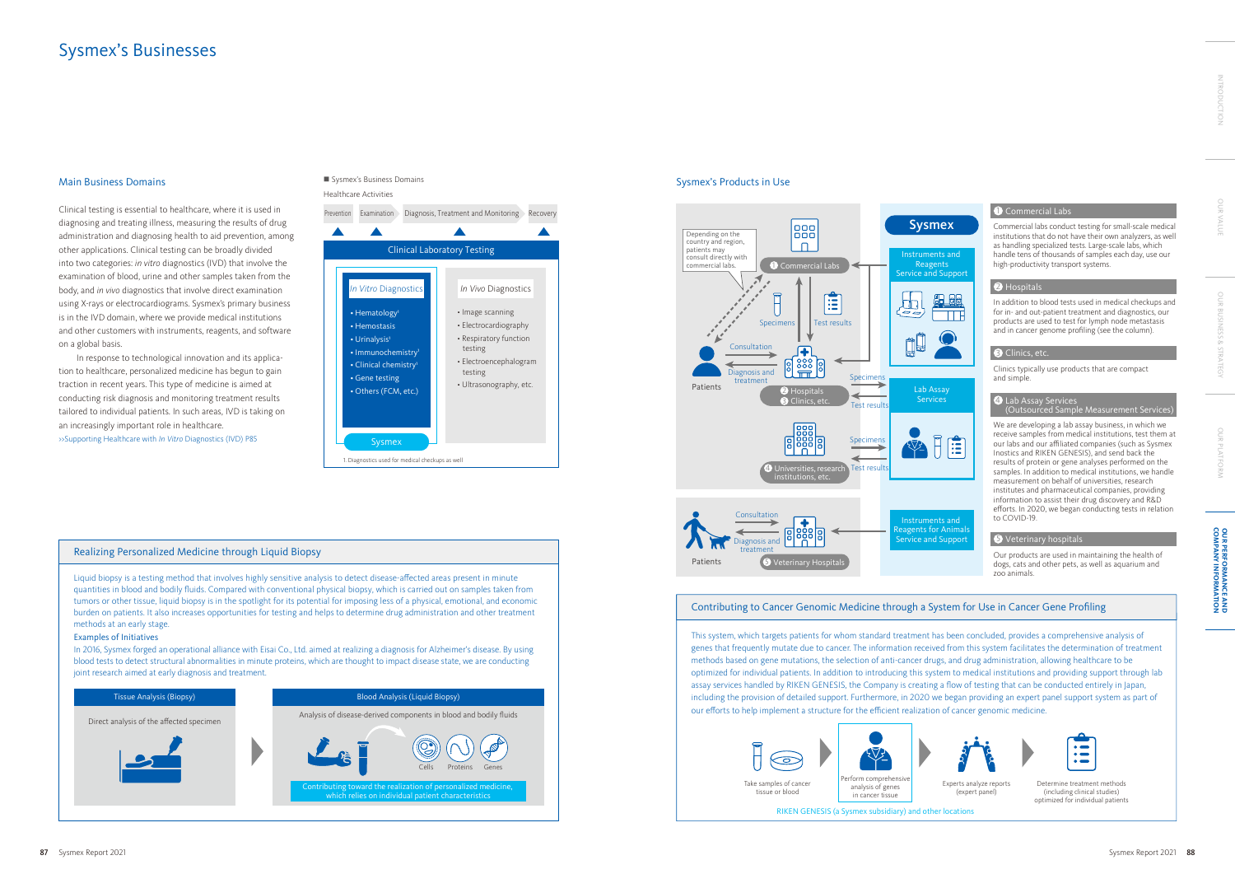

#### Healthcare Activities



#### Realizing Personalized Medicine through Liquid Biopsy

Liquid biopsy is a testing method that involves highly sensitive analysis to detect disease-affected areas present in minute quantities in blood and bodily fluids. Compared with conventional physical biopsy, which is carried out on samples taken from tumors or other tissue, liquid biopsy is in the spotlight for its potential for imposing less of a physical, emotional, and economic burden on patients. It also increases opportunities for testing and helps to determine drug administration and other treatment methods at an early stage.

### Examples of Initiatives

In 2016, Sysmex forged an operational alliance with Eisai Co., Ltd. aimed at realizing a diagnosis for Alzheimer's disease. By using blood tests to detect structural abnormalities in minute proteins, which are thought to impact disease state, we are conducting joint research aimed at early diagnosis and treatment.

# Sysmex's Businesses

# Contributing to Cancer Genomic Medicine through a System for Use in Cancer Gene Profiling

This system, which targets patients for whom standard treatment has been concluded, provides a comprehensive analysis of genes that frequently mutate due to cancer. The information received from this system facilitates the determination of treatment methods based on gene mutations, the selection of anti-cancer drugs, and drug administration, allowing healthcare to be optimized for individual patients. In addition to introducing this system to medical institutions and providing support through lab assay services handled by RIKEN GENESIS, the Company is creating a flow of testing that can be conducted entirely in Japan, including the provision of detailed support. Furthermore, in 2020 we began providing an expert panel support system as part of our efforts to help implement a structure for the efficient realization of cancer genomic medicine.





Determine treatment methods (including clinical studies) optimized for individual patients



Experts analyze reports (expert panel)

### Main Business Domains

Clinical testing is essential to healthcare, where it is used in diagnosing and treating illness, measuring the results of drug administration and diagnosing health to aid prevention, among other applications. Clinical testing can be broadly divided into two categories: *in vitro* diagnostics (IVD) that involve the examination of blood, urine and other samples taken from the body, and *in vivo* diagnostics that involve direct examination using X-rays or electrocardiograms. Sysmex's primary business is in the IVD domain, where we provide medical institutions and other customers with instruments, reagents, and software on a global basis.

In response to technological innovation and its application to healthcare, personalized medicine has begun to gain traction in recent years. This type of medicine is aimed at conducting risk diagnosis and monitoring treatment results tailored to individual patients. In such areas, IVD is taking on an increasingly important role in healthcare. >>Supporting Healthcare with *In Vitro* Diagnostics (IVD) P85

# ■ Sysmex's Business Domains

### Sysmex's Products in Use

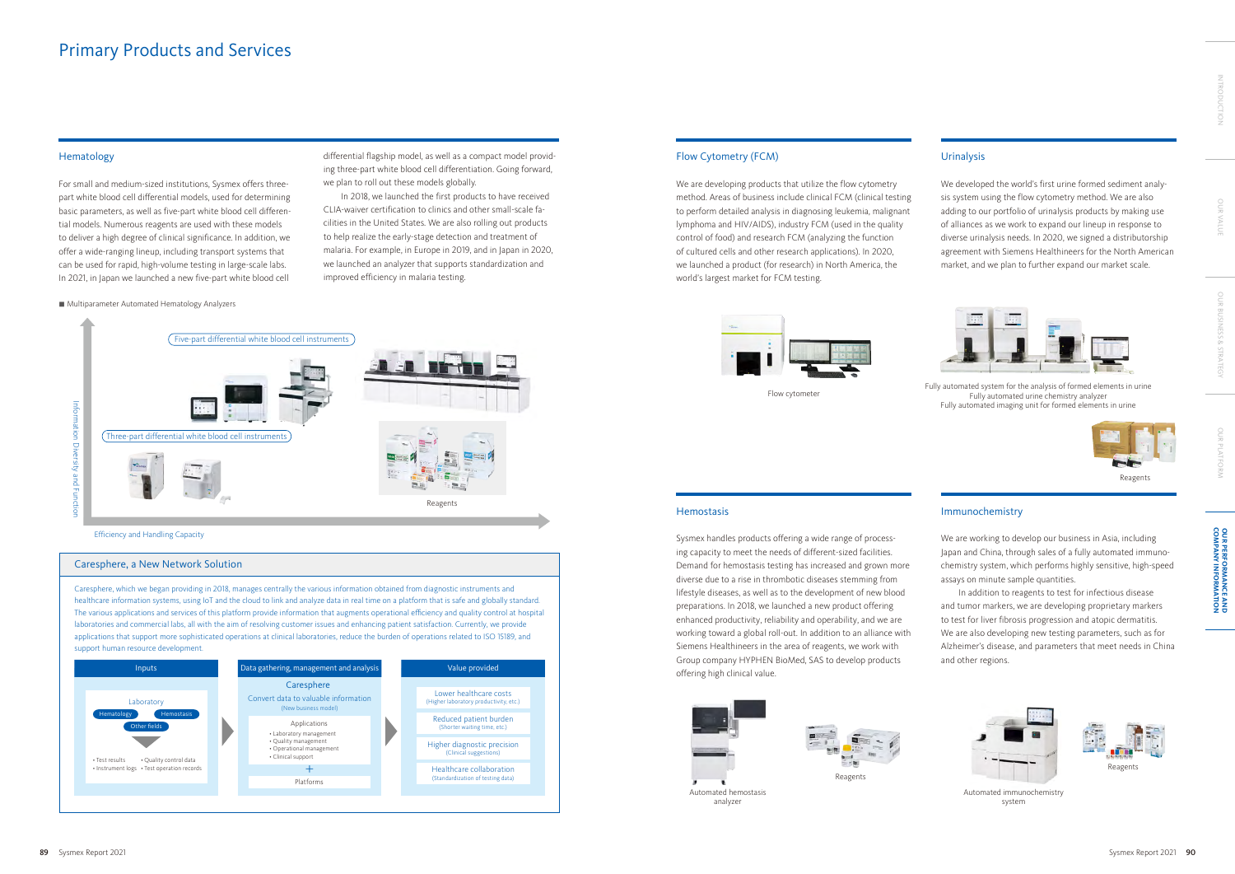## Hematology

For small and medium-sized institutions, Sysmex offers threepart white blood cell differential models, used for determining basic parameters, as well as five-part white blood cell differential models. Numerous reagents are used with these models to deliver a high degree of clinical significance. In addition, we offer a wide-ranging lineup, including transport systems that can be used for rapid, high-volume testing in large-scale labs. In 2021, in Japan we launched a new five-part white blood cell

#### ■ Multiparameter Automated Hematology Analyzers

# Urinalysis

We developed the world's first urine formed sediment analysis system using the flow cytometry method. We are also adding to our portfolio of urinalysis products by making use of alliances as we work to expand our lineup in response to diverse urinalysis needs. In 2020, we signed a distributorship agreement with Siemens Healthineers for the North American market, and we plan to further expand our market scale.



# Flow Cytometry (FCM)

We are developing products that utilize the flow cytometry method. Areas of business include clinical FCM (clinical testing to perform detailed analysis in diagnosing leukemia, malignant lymphoma and HIV/AIDS), industry FCM (used in the quality control of food) and research FCM (analyzing the function of cultured cells and other research applications). In 2020, we launched a product (for research) in North America, the world's largest market for FCM testing.



Sysmex handles products offering a wide range of processing capacity to meet the needs of different-sized facilities. Demand for hemostasis testing has increased and grown more diverse due to a rise in thrombotic diseases stemming from lifestyle diseases, as well as to the development of new blood preparations. In 2018, we launched a new product offering enhanced productivity, reliability and operability, and we are working toward a global roll-out. In addition to an alliance with Siemens Healthineers in the area of reagents, we work with Group company HYPHEN BioMed, SAS to develop products offering high clinical value.



# Immunochemistry

We are working to develop our business in Asia, including Japan and China, through sales of a fully automated immunochemistry system, which performs highly sensitive, high-speed assays on minute sample quantities.

In addition to reagents to test for infectious disease and tumor markers, we are developing proprietary markers to test for liver fibrosis progression and atopic dermatitis. We are also developing new testing parameters, such as for Alzheimer's disease, and parameters that meet needs in China and other regions.



Fully automated system for the analysis of formed elements in urine Fully automated urine chemistry analyzer Fully automated imaging unit for formed elements in urine

Flow cytometer

#### **Hemostasis**

Efficiency and Handling Capacity



Automated immunochemistry system

Automated hemostasis analyzer

differential flagship model, as well as a compact model providing three-part white blood cell differentiation. Going forward, we plan to roll out these models globally.

In 2018, we launched the first products to have received CLIA-waiver certification to clinics and other small-scale facilities in the United States. We are also rolling out products to help realize the early-stage detection and treatment of malaria. For example, in Europe in 2019, and in Japan in 2020, we launched an analyzer that supports standardization and improved efficiency in malaria testing.



# Primary Products and Services



Caresphere, which we began providing in 2018, manages centrally the various information obtained from diagnostic instruments and healthcare information systems, using IoT and the cloud to link and analyze data in real time on a platform that is safe and globally standard. The various applications and services of this platform provide information that augments operational efficiency and quality control at hospital laboratories and commercial labs, all with the aim of resolving customer issues and enhancing patient satisfaction. Currently, we provide applications that support more sophisticated operations at clinical laboratories, reduce the burden of operations related to ISO 15189, and support human resource development.



#### Caresphere, a New Network Solution

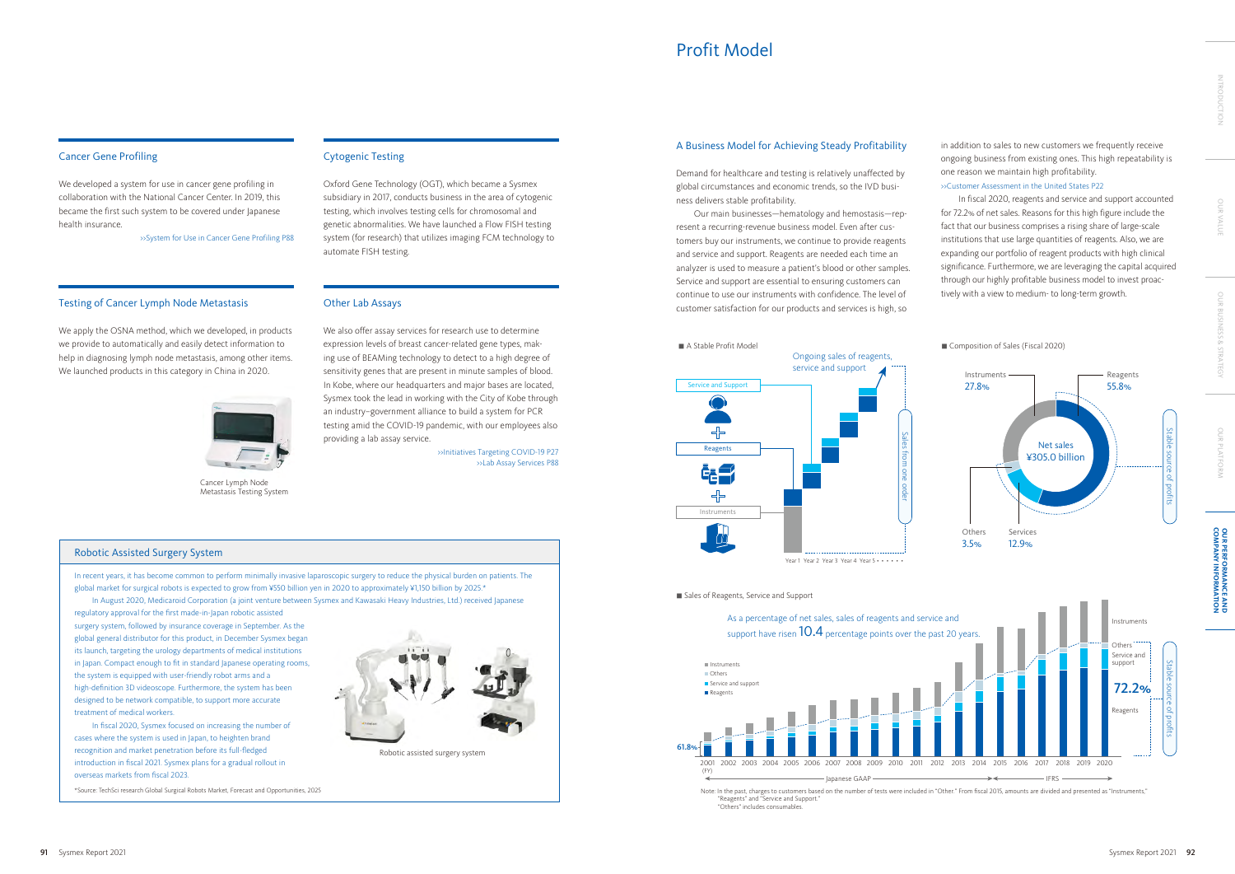# Cancer Gene Profiling

We developed a system for use in cancer gene profiling in collaboration with the National Cancer Center. In 2019, this became the first such system to be covered under Japanese health insurance.

>>System for Use in Cancer Gene Profiling P88

# Testing of Cancer Lymph Node Metastasis

We apply the OSNA method, which we developed, in products we provide to automatically and easily detect information to help in diagnosing lymph node metastasis, among other items. We launched products in this category in China in 2020.



## Cytogenic Testing

Oxford Gene Technology (OGT), which became a Sysmex subsidiary in 2017, conducts business in the area of cytogenic testing, which involves testing cells for chromosomal and genetic abnormalities. We have launched a Flow FISH testing system (for research) that utilizes imaging FCM technology to automate FISH testing.

### Other Lab Assays

We also offer assay services for research use to determine expression levels of breast cancer-related gene types, making use of BEAMing technology to detect to a high degree of sensitivity genes that are present in minute samples of blood. In Kobe, where our headquarters and major bases are located, Sysmex took the lead in working with the City of Kobe through an industry–government alliance to build a system for PCR testing amid the COVID-19 pandemic, with our employees also providing a lab assay service.

> >>Initiatives Targeting COVID-19 P27 >>Lab Assay Services P88

# Profit Model

Cancer Lymph Node Metastasis Testing System

In recent years, it has become common to perform minimally invasive laparoscopic surgery to reduce the physical burden on patients. The global market for surgical robots is expected to grow from ¥550 billion yen in 2020 to approximately ¥1,150 billion by 2025.\*

In August 2020, Medicaroid Corporation (a joint venture between Sysmex and Kawasaki Heavy Industries, Ltd.) received Japanese

regulatory approval for the first made-in-Japan robotic assisted surgery system, followed by insurance coverage in September. As the global general distributor for this product, in December Sysmex began its launch, targeting the urology departments of medical institutions in Japan. Compact enough to fit in standard Japanese operating rooms, the system is equipped with user-friendly robot arms and a high-definition 3D videoscope. Furthermore, the system has been designed to be network compatible, to support more accurate treatment of medical workers.

 In fiscal 2020, Sysmex focused on increasing the number of cases where the system is used in Japan, to heighten brand recognition and market penetration before its full-fledged introduction in fiscal 2021. Sysmex plans for a gradual rollout in overseas markets from fiscal 2023.

**OUR PERFORMANCE AND<br>COMPANY INFORMATION COMPANY INFORMATION OUR PERFORMANCE AND** 

# Robotic Assisted Surgery System

\*Source: TechSci research Global Surgical Robots Market, Forecast and Opportunities, 2025



Robotic assisted surgery system

## A Business Model for Achieving Steady Profitability

Demand for healthcare and testing is relatively unaffected by global circumstances and economic trends, so the IVD business delivers stable profitability.

Our main businesses—hematology and hemostasis—represent a recurring-revenue business model. Even after customers buy our instruments, we continue to provide reagents and service and support. Reagents are needed each time an analyzer is used to measure a patient's blood or other samples. Service and support are essential to ensuring customers can continue to use our instruments with confidence. The level of customer satisfaction for our products and services is high, so

in addition to sales to new customers we frequently receive ongoing business from existing ones. This high repeatability is one reason we maintain high profitability.

### >>Customer Assessment in the United States P22

In fiscal 2020, reagents and service and support accounted for 72.2% of net sales. Reasons for this high figure include the fact that our business comprises a rising share of large-scale institutions that use large quantities of reagents. Also, we are expanding our portfolio of reagent products with high clinical significance. Furthermore, we are leveraging the capital acquired through our highly profitable business model to invest proactively with a view to medium- to long-term growth.

Note: In the past, charges to customers based on the number of tests were included in "Other." From fiscal 2015, amounts are divided and presented as "Instruments," "Reagents" and "Service and Support." "Others" includes consumables.



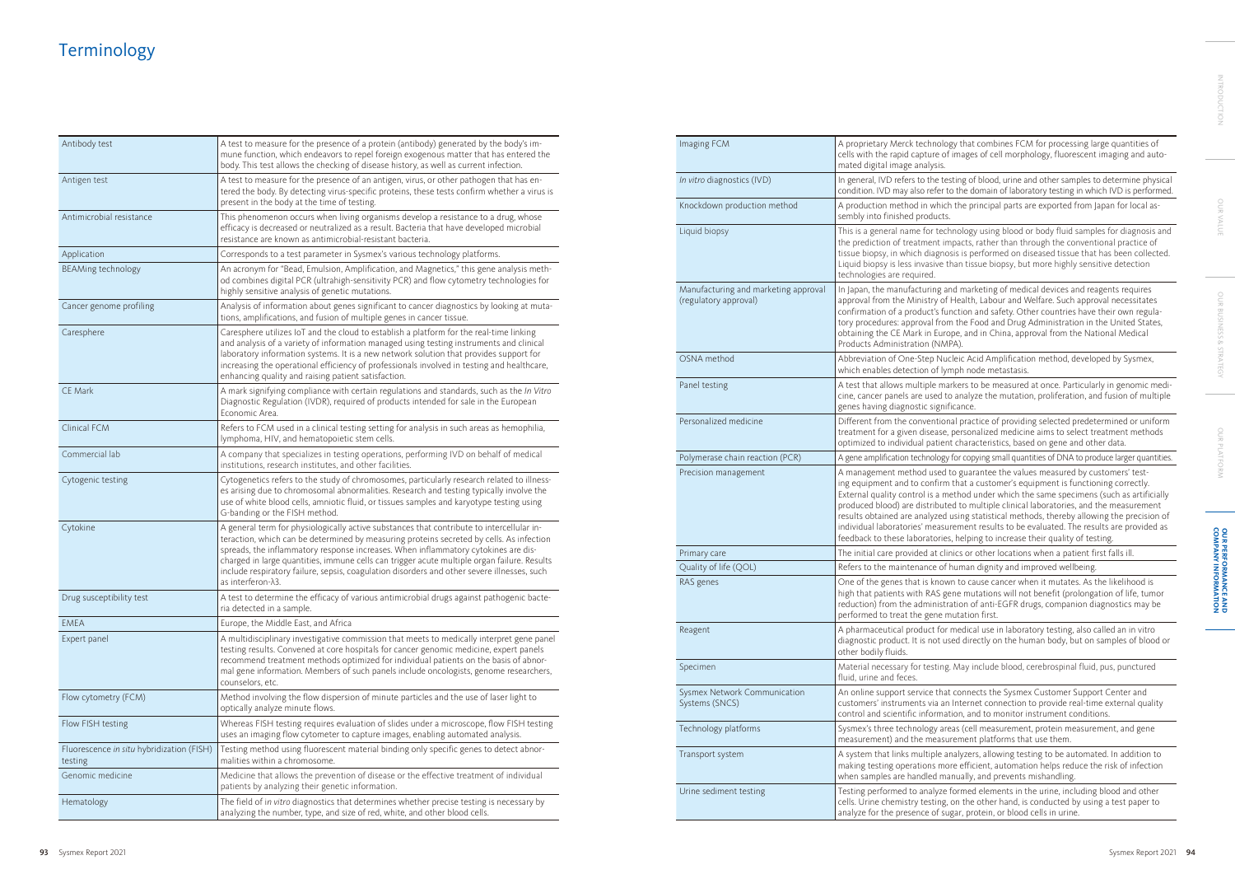# **Terminology**

| Antibody test                                        | A test to measure for the presence of a protein (antibody) generated by the body's im-<br>mune function, which endeavors to repel foreign exogenous matter that has entered the<br>body. This test allows the checking of disease history, as well as current infection.                                                                                                                                                                                                                                 |
|------------------------------------------------------|----------------------------------------------------------------------------------------------------------------------------------------------------------------------------------------------------------------------------------------------------------------------------------------------------------------------------------------------------------------------------------------------------------------------------------------------------------------------------------------------------------|
| Antigen test                                         | A test to measure for the presence of an antigen, virus, or other pathogen that has en-<br>tered the body. By detecting virus-specific proteins, these tests confirm whether a virus is<br>present in the body at the time of testing.                                                                                                                                                                                                                                                                   |
| Antimicrobial resistance                             | This phenomenon occurs when living organisms develop a resistance to a drug, whose<br>efficacy is decreased or neutralized as a result. Bacteria that have developed microbial<br>resistance are known as antimicrobial-resistant bacteria.                                                                                                                                                                                                                                                              |
| Application                                          | Corresponds to a test parameter in Sysmex's various technology platforms.                                                                                                                                                                                                                                                                                                                                                                                                                                |
| BEAMing technology                                   | An acronym for "Bead, Emulsion, Amplification, and Magnetics," this gene analysis meth-<br>od combines digital PCR (ultrahigh-sensitivity PCR) and flow cytometry technologies for<br>highly sensitive analysis of genetic mutations.                                                                                                                                                                                                                                                                    |
| Cancer genome profiling                              | Analysis of information about genes significant to cancer diagnostics by looking at muta-<br>tions, amplifications, and fusion of multiple genes in cancer tissue.                                                                                                                                                                                                                                                                                                                                       |
| Caresphere                                           | Caresphere utilizes IoT and the cloud to establish a platform for the real-time linking<br>and analysis of a variety of information managed using testing instruments and clinical<br>laboratory information systems. It is a new network solution that provides support for<br>increasing the operational efficiency of professionals involved in testing and healthcare,<br>enhancing quality and raising patient satisfaction.                                                                        |
| <b>CE Mark</b>                                       | A mark signifying compliance with certain regulations and standards, such as the In Vitro<br>Diagnostic Regulation (IVDR), required of products intended for sale in the European<br>Economic Area.                                                                                                                                                                                                                                                                                                      |
| Clinical FCM                                         | Refers to FCM used in a clinical testing setting for analysis in such areas as hemophilia,<br>lymphoma, HIV, and hematopoietic stem cells.                                                                                                                                                                                                                                                                                                                                                               |
| Commercial lab                                       | A company that specializes in testing operations, performing IVD on behalf of medical<br>institutions, research institutes, and other facilities.                                                                                                                                                                                                                                                                                                                                                        |
| Cytogenic testing                                    | Cytogenetics refers to the study of chromosomes, particularly research related to illness-<br>es arising due to chromosomal abnormalities. Research and testing typically involve the<br>use of white blood cells, amniotic fluid, or tissues samples and karyotype testing using<br>G-banding or the FISH method.                                                                                                                                                                                       |
| Cytokine                                             | A general term for physiologically active substances that contribute to intercellular in-<br>teraction, which can be determined by measuring proteins secreted by cells. As infection<br>spreads, the inflammatory response increases. When inflammatory cytokines are dis-<br>charged in large quantities, immune cells can trigger acute multiple organ failure. Results<br>include respiratory failure, sepsis, coagulation disorders and other severe illnesses, such<br>as interferon- $\lambda$ 3. |
| Drug susceptibility test                             | A test to determine the efficacy of various antimicrobial drugs against pathogenic bacte-<br>ria detected in a sample.                                                                                                                                                                                                                                                                                                                                                                                   |
| <b>EMEA</b>                                          | Europe, the Middle East, and Africa                                                                                                                                                                                                                                                                                                                                                                                                                                                                      |
| Expert panel                                         | A multidisciplinary investigative commission that meets to medically interpret gene panel<br>testing results. Convened at core hospitals for cancer genomic medicine, expert panels<br>recommend treatment methods optimized for individual patients on the basis of abnor-<br>mal gene information. Members of such panels include oncologists, genome researchers,<br>counselors, etc.                                                                                                                 |
| Flow cytometry (FCM)                                 | Method involving the flow dispersion of minute particles and the use of laser light to<br>optically analyze minute flows.                                                                                                                                                                                                                                                                                                                                                                                |
| Flow FISH testing                                    | Whereas FISH testing requires evaluation of slides under a microscope, flow FISH testing<br>uses an imaging flow cytometer to capture images, enabling automated analysis.                                                                                                                                                                                                                                                                                                                               |
| Fluorescence in situ hybridization (FISH)<br>testing | Testing method using fluorescent material binding only specific genes to detect abnor-<br>malities within a chromosome.                                                                                                                                                                                                                                                                                                                                                                                  |
| Genomic medicine                                     | Medicine that allows the prevention of disease or the effective treatment of individual<br>patients by analyzing their genetic information.                                                                                                                                                                                                                                                                                                                                                              |
| Hematology                                           | The field of in vitro diagnostics that determines whether precise testing is necessary by<br>analyzing the number, type, and size of red, white, and other blood cells.                                                                                                                                                                                                                                                                                                                                  |

**OUR PERFORMANCE AND<br>COMPANY INFORMATION COMPANY INFORMATION OUR PERFORMANCE AND** 

nology that combines FCM for processing large quantities of re of images of cell morphology, fluorescent imaging and auto-

*Ine* testing of blood, urine and other samples to determine physical fer to the domain of laboratory testing in which IVD is performed.

which the principal parts are exported from Japan for local asucts.

technology using blood or body fluid samples for diagnosis and nt impacts, rather than through the conventional practice of agnosis is performed on diseased tissue that has been collected. ive than tissue biopsy, but more highly sensitive detection

Ing and marketing of medical devices and reagents requires  $\frac{a}{b}$  of Health, Labour and Welfare. Such approval necessitates is function and safety. Other countries have their own regulafrom the Food and Drug Administration in the United States, Europe, and in China, approval from the National Medical NMPA).

Nucleic Acid Amplification method, developed by Sysmex, of lymph node metastasis.

markers to be measured at once. Particularly in genomic medied to analyze the mutation, proliferation, and fusion of multiple ignificance.

ntional practice of providing selected predetermined or uniform tase, personalized medicine aims to select treatment methods tient characteristics, based on gene and other data.

logy for copying small quantities of DNA to produce larger quantities.

sed to guarantee the values measured by customers' testfirm that a customer's equipment is functioning correctly. a method under which the same specimens (such as artificially ibuted to multiple clinical laboratories, and the measurement zed using statistical methods, thereby allowing the precision of easurement results to be evaluated. The results are provided as pries, helping to increase their quality of testing.

clinics or other locations when a patient first falls ill.

of human dignity and improved wellbeing.

nown to cause cancer when it mutates. As the likelihood is AS gene mutations will not benefit (prolongation of life, tumor nistration of anti-EGFR drugs, companion diagnostics may be ne mutation first.

for medical use in laboratory testing, also called an in vitro ot used directly on the human body, but on samples of blood or

ting. May include blood, cerebrospinal fluid, pus, punctured

that connects the Sysmex Customer Support Center and ia an Internet connection to provide real-time external quality rmation, and to monitor instrument conditions.

 $\alpha$  areas (cell measurement, protein measurement, and gene easurement platforms that use them.

le analyzers, allowing testing to be automated. In addition to more efficient, automation helps reduce the risk of infection manually, and prevents mishandling.

yze formed elements in the urine, including blood and other ing, on the other hand, is conducted by using a test paper to of sugar, protein, or blood cells in urine.

| Imaging FCM                                                   | A proprietary Merck technol<br>cells with the rapid capture c<br>mated digital image analysis.                                                                                                                                |
|---------------------------------------------------------------|-------------------------------------------------------------------------------------------------------------------------------------------------------------------------------------------------------------------------------|
| In vitro diagnostics (IVD)                                    | In general, IVD refers to the to<br>condition. IVD may also refer                                                                                                                                                             |
| Knockdown production method                                   | A production method in whio<br>sembly into finished product                                                                                                                                                                   |
| Liquid biopsy                                                 | This is a general name for teo<br>the prediction of treatment i<br>tissue biopsy, in which diagn<br>Liquid biopsy is less invasive<br>technologies are required.                                                              |
| Manufacturing and marketing approval<br>(regulatory approval) | In Japan, the manufacturing a<br>approval from the Ministry o<br>confirmation of a product's f<br>tory procedures: approval frc<br>obtaining the CE Mark in Eur<br>Products Administration (NA                                |
| OSNA method                                                   | Abbreviation of One-Step Nu<br>which enables detection of ly                                                                                                                                                                  |
| Panel testing                                                 | A test that allows multiple m<br>cine, cancer panels are used<br>genes having diagnostic sign                                                                                                                                 |
| Personalized medicine                                         | Different from the conventic<br>treatment for a given disease<br>optimized to individual patie                                                                                                                                |
| Polymerase chain reaction (PCR)                               | A gene amplification technolog                                                                                                                                                                                                |
| Precision management                                          | A management method used<br>ing equipment and to confirr<br>External quality control is a r<br>produced blood) are distribu<br>results obtained are analyzed<br>individual laboratories' meas<br>feedback to these laboratori |
| Primary care                                                  | The initial care provided at cl                                                                                                                                                                                               |
| Quality of life (QOL)                                         | Refers to the maintenance of                                                                                                                                                                                                  |
| RAS genes                                                     | One of the genes that is kno<br>high that patients with RAS g<br>reduction) from the administ<br>performed to treat the gene                                                                                                  |
| Reagent                                                       | A pharmaceutical product fo<br>diagnostic product. It is not u<br>other bodily fluids.                                                                                                                                        |
| Specimen                                                      | Material necessary for testin<br>fluid, urine and feces.                                                                                                                                                                      |
| Sysmex Network Communication<br>Systems (SNCS)                | An online support service tha<br>customers' instruments via a<br>control and scientific informa                                                                                                                               |
| Technology platforms                                          | Sysmex's three technology a<br>measurement) and the meas                                                                                                                                                                      |
| Transport system                                              | A system that links multiple<br>making testing operations m<br>when samples are handled m                                                                                                                                     |
| Urine sediment testing                                        | Testing performed to analyze<br>cells. Urine chemistry testing<br>analyze for the presence of s                                                                                                                               |